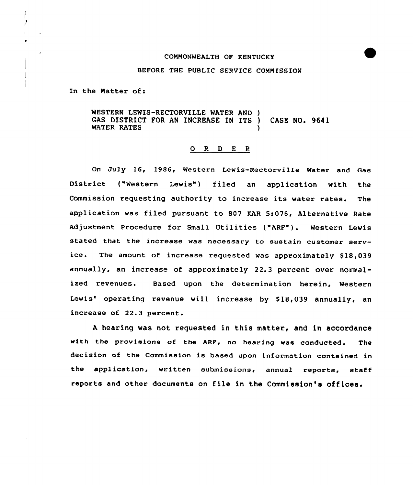#### CONNONWEALTH OF KENTUCKY

### BEFORE THE PUBLIC SERVICE COMMISSION

In the Natter of:

WESTERN LEWIS-RECTORVILLE WATER AND ) GAS DISTRICT FOR AN INCREASE IN ITS ) CASE NO. 9641 WATER RATES

# O R D E R

On July 16, 1986, Western Lewis-Rectorville Water and Gas District ("Western Lewis") filed an application with the Commission requesting authority to increase its water rates. The application was filed pursuant to 807 KAR 5:076, Alternative Rate Adjustment Procedure for Small Utilities ("ARF"). Western Lewis stated that the increase was necessary to sustain customer service. The amount of increase requested was approximately \$18,039 annually, an increase of approximately 22.3 percent over normalized revenues. Based upon the determination herein, Western Lewis' operating revenue will increase by \$18,039 annually, an increase of 22.3 percent.

<sup>A</sup> hearing was not requested in this matter, and in accordance with the provisions of the ARF, no hearing was conducted. The decision of the Commission is based upon information contained in the application, written submissions, annual reports, staff reports and other documents on file in the Commission's offices.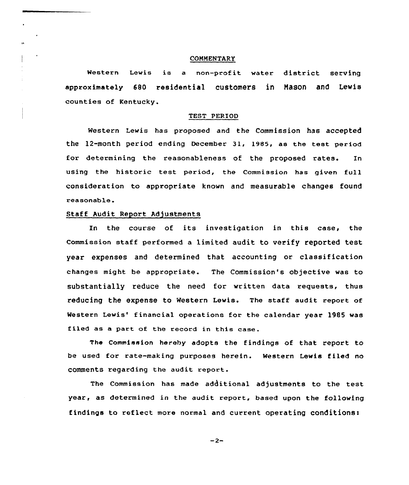## **COMMENTARY**

Western Lewis is <sup>a</sup> non-profit water district serving approximately 680 residential customers in Nason and Lewis counties of Kentucky.

# TEST PERIOD

Western Lewis has proposed and the Commission has accepted the 12-month period ending December 31, 1985, as the test period for determining the reasonableness of the proposed rates. In using the historic test period, the Commission has given full consideration to appropriate known and measurable changes found reasonable.

### Staff Audit Report Adjustments

Xn the course of its investigation in this case, the Commission staff performed <sup>a</sup> limited audit to verify reported test year expenses and determined that accounting or classification changes might be appropriate. The Commission's objective was to substantially reduce the need for written data requests, thus reducing the expense to Western Lewis. The staff audit report of Western Lewis' financial operations for the calendar year 1985 was filed as a part of the record in this case.

The Commission hereby adopts the findings of that report to be used for rate-making purposes herein. Western Lewis f iled no comments regarding the audit report.

The Commission has made additional adjustments to the test year, as determined in the audit report, based upon the following findings to reflect more normal and current operating conditions:

 $-2-$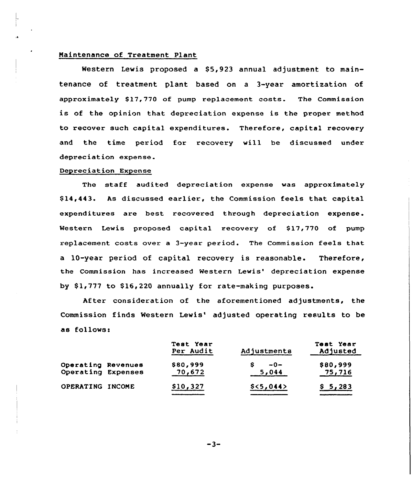## Naintenance of Treatment Plant

Western Lewis proposed a  $$5,923$  annual adjustment to maintenance of treatment plant based on a 3-year amortization of approximately \$17,770 of pump replacement costs. The Commission is of the opinion that depreciation expense is the proper method to recover such capital expenditures. Therefore, capital recovery and the time period for recovery will be discussed under depreciation expense.

### Depreciation Expense

The staff audited depreciation expense was approximately \$ 14,443. As discussed earlier, the Commission feels that capital expenditures are best recovered through depreciation expense. Western Lewis proposed capital recovery of  $$17,770$  of pump replacement costs over a 3-year period. The Commission feels that a 10-year period of capital recovery is reasonable. Therefore, the Commission has increased Western Lewis' depreciation expense by  $$1,777$  to  $$16,220$  annually for rate-making purposes.

After consideration of the aforementioned adjustments, the Commission finds Western Lewis' adjusted operating results to be as follows:

|                                          | Test Year<br>Per Audit | Adjustments    | Test Year<br>Adjusted |
|------------------------------------------|------------------------|----------------|-----------------------|
| Operating Revenues<br>Operating Expenses | \$80,999<br>70,672     | $-0-$<br>5,044 | \$80,999<br>75,716    |
| OPERATING INCOME                         | \$10,327               | \$<5,044>      | \$5,283               |

 $-3-$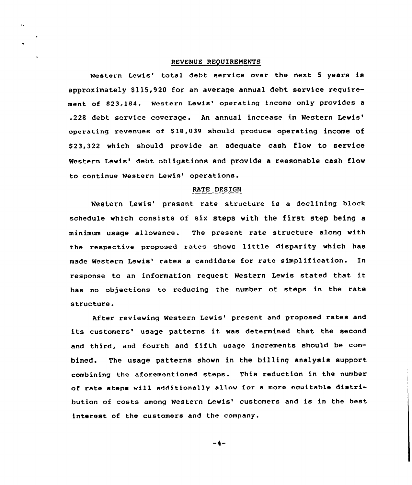#### REVENUE REQUIREMENTS

Western Lewis' total debt service over the next 5 years is approximately \$115,920 for an average annual debt service requirement of \$23,184. Western Lewis' operating income only provides a .228 debt service coverage. An annual increase in Western revenues of \$18,039 should produce oper<mark>ating income of</mark> \$ 23,322 which should provide an adequate cash flow to service Western Lewis' debt obligations and provide a reasonable cash flow to continue Western Lewis' operations.

#### RATE DESIGN

Western Lewis' present rate structure is a declining block schedule which consists of six steps with the first step being <sup>a</sup> minimum usage allowance. The present rate structure along with the respective proposed rates shows little disparity which has made Western Lewis' rates a candidate for rate simplification. In response to an information request Western Lewis stated that it has no objections to reducing the number of steps in the rate structure.

After reviewing Western Lewis' present and proposed rates and its customers' usage patterns it was determined that the second and third, and fourth and fifth usage increments should be combined. The usage patterns shown in the billing analysis support combining the aforementioned steps. This reduction in the number of rate steps will additionally allow for. <sup>a</sup> moro eouitahle distribution of costs among Western Lewis' customers and is in the best interest of the customers and the company.

 $-4-$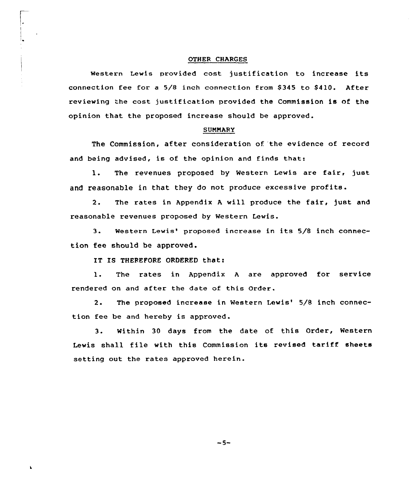#### OTHER CHARGES

Western Lewis provided cost justification to increase its connection fee for a 5/8 inch connection from \$345 to \$410. After reviewing the cost justification provided the Commission is of the opinion that the proposed increase should be approved.

#### SUMMARY

The Commission, after consideration of 'the evidence of record and being advised, is of the opinion and finds that:

1. The revenues proposed by Western Lewis are fair, just and reasonable in that they do not produce excessive profits.

2. The rates in Appendix <sup>A</sup> will produce the fair, just and reasonable revenues proposed by Western Lewis.

3. Western Lewis' proposed increase in its 5/8 inch connection fee should be approved.

IT IS THEREFORE ORDERED that:

l. The rates in Appendix <sup>A</sup> are approved for service rendered on and after the date of this Order.

2. The proposed increase in Western Lewis' 5/8 inch connection fee be and hereby is approved.

3. Within 30 days from the date of this Order, Western Lewis shall file with this Commission its revised tariff sheets setting out the rates approved herein.

 $-5-$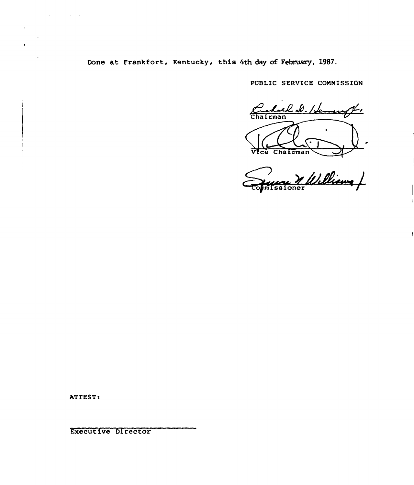Done at Frankfort, Kentucky, this 4th day of February, 1987.

PUBLIC SERVICE CONNISSION

Culal D. Henry ŗ,  $\bullet$ Vice Chairman

Main Carpenter oner

ATTEST:

 $\mathcal{A}^{\mathcal{A}}$  and  $\mathcal{A}^{\mathcal{A}}$  are  $\mathcal{A}^{\mathcal{A}}$  . In the  $\mathcal{A}^{\mathcal{A}}$ 

 $\bullet$ 

Executive Director